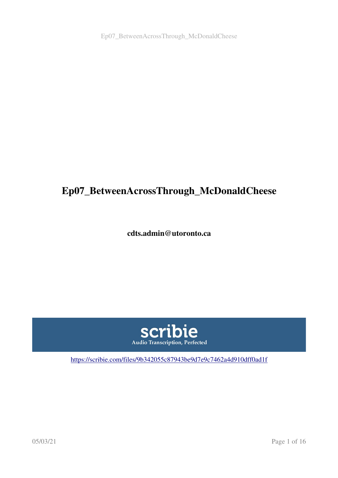Ep07\_BetweenAcrossThrough\_McDonaldCheese

# Ep07\_BetweenAcrossThrough\_McDonaldCheese

cdts.admin@utoronto.ca



<https://scribie.com/files/9b342055c87943be9d7e9c7462a4d910dff0ad1f>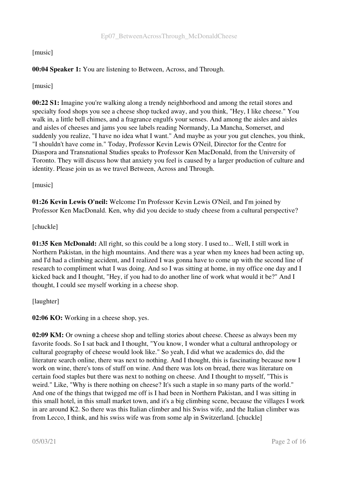# [music]

# 00:04 Speaker 1: You are listening to Between, Across, and Through.

[music]

00:22 S1: Imagine you're walking along a trendy neighborhood and among the retail stores and specialty food shops you see a cheese shop tucked away, and you think, "Hey, I like cheese." You walk in, a little bell chimes, and a fragrance engulfs your senses. And among the aisles and aisles and aisles of cheeses and jams you see labels reading Normandy, La Mancha, Somerset, and suddenly you realize, "I have no idea what I want." And maybe as your you gut clenches, you think, "I shouldn't have come in." Today, Professor Kevin Lewis O'Neil, Director for the Centre for Diaspora and Transnational Studies speaks to Professor Ken MacDonald, from the University of Toronto. They will discuss how that anxiety you feel is caused by a larger production of culture and identity. Please join us as we travel Between, Across and Through.

#### [music]

01:26 Kevin Lewis O'neil: Welcome I'm Professor Kevin Lewis O'Neil, and I'm joined by Professor Ken MacDonald. Ken, why did you decide to study cheese from a cultural perspective?

# [chuckle]

01:35 Ken McDonald: All right, so this could be a long story. I used to... Well, I still work in Northern Pakistan, in the high mountains. And there was a year when my knees had been acting up, and I'd had a climbing accident, and I realized I was gonna have to come up with the second line of research to compliment what I was doing. And so I was sitting at home, in my office one day and I kicked back and I thought, "Hey, if you had to do another line of work what would it be?" And I thought, I could see myself working in a cheese shop.

[laughter]

02:06 KO: Working in a cheese shop, yes.

02:09 KM: Or owning a cheese shop and telling stories about cheese. Cheese as always been my favorite foods. So I sat back and I thought, "You know, I wonder what a cultural anthropology or cultural geography of cheese would look like." So yeah, I did what we academics do, did the literature search online, there was next to nothing. And I thought, this is fascinating because now I work on wine, there's tons of stuff on wine. And there was lots on bread, there was literature on certain food staples but there was next to nothing on cheese. And I thought to myself, "This is weird." Like, "Why is there nothing on cheese? It's such a staple in so many parts of the world." And one of the things that twigged me off is I had been in Northern Pakistan, and I was sitting in this small hotel, in this small market town, and it's a big climbing scene, because the villages I work in are around K2. So there was this Italian climber and his Swiss wife, and the Italian climber was from Lecco, I think, and his swiss wife was from some alp in Switzerland. [chuckle]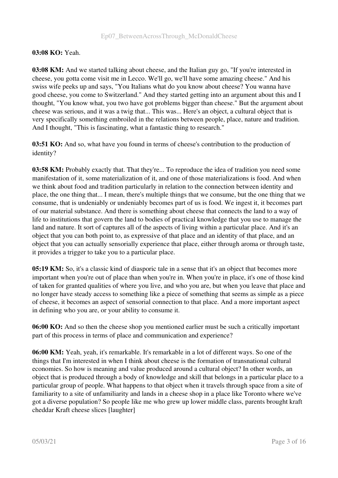## 03:08 KO: Yeah.

03:08 KM: And we started talking about cheese, and the Italian guy go, "If you're interested in cheese, you gotta come visit me in Lecco. We'll go, we'll have some amazing cheese." And his swiss wife peeks up and says, "You Italians what do you know about cheese? You wanna have good cheese, you come to Switzerland." And they started getting into an argument about this and I thought, "You know what, you two have got problems bigger than cheese." But the argument about cheese was serious, and it was a twig that... This was... Here's an object, a cultural object that is very specifically something embroiled in the relations between people, place, nature and tradition. And I thought, "This is fascinating, what a fantastic thing to research."

03:51 KO: And so, what have you found in terms of cheese's contribution to the production of identity?

**03:58 KM:** Probably exactly that. That they're... To reproduce the idea of tradition you need some manifestation of it, some materialization of it, and one of those materializations is food. And when we think about food and tradition particularly in relation to the connection between identity and place, the one thing that... I mean, there's multiple things that we consume, but the one thing that we consume, that is undeniably or undeniably becomes part of us is food. We ingest it, it becomes part of our material substance. And there is something about cheese that connects the land to a way of life to institutions that govern the land to bodies of practical knowledge that you use to manage the land and nature. It sort of captures all of the aspects of living within a particular place. And it's an object that you can both point to, as expressive of that place and an identity of that place, and an object that you can actually sensorially experience that place, either through aroma or through taste, it provides a trigger to take you to a particular place.

**05:19 KM:** So, it's a classic kind of diasporic tale in a sense that it's an object that becomes more important when you're out of place than when you're in. When you're in place, it's one of those kind of taken for granted qualities of where you live, and who you are, but when you leave that place and no longer have steady access to something like a piece of something that seems as simple as a piece of cheese, it becomes an aspect of sensorial connection to that place. And a more important aspect in defining who you are, or your ability to consume it.

06:00 KO: And so then the cheese shop you mentioned earlier must be such a critically important part of this process in terms of place and communication and experience?

06:00 KM: Yeah, yeah, it's remarkable. It's remarkable in a lot of different ways. So one of the things that I'm interested in when I think about cheese is the formation of transnational cultural economies. So how is meaning and value produced around a cultural object? In other words, an object that is produced through a body of knowledge and skill that belongs in a particular place to a particular group of people. What happens to that object when it travels through space from a site of familiarity to a site of unfamiliarity and lands in a cheese shop in a place like Toronto where we've got a diverse population? So people like me who grew up lower middle class, parents brought kraft cheddar Kraft cheese slices [laughter]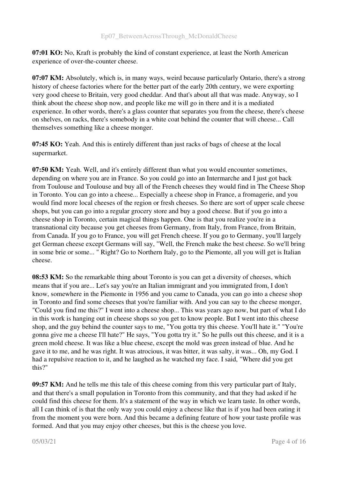07:01 KO: No, Kraft is probably the kind of constant experience, at least the North American experience of over-the-counter cheese.

07:07 KM: Absolutely, which is, in many ways, weird because particularly Ontario, there's a strong history of cheese factories where for the better part of the early 20th century, we were exporting very good cheese to Britain, very good cheddar. And that's about all that was made. Anyway, so I think about the cheese shop now, and people like me will go in there and it is a mediated experience. In other words, there's a glass counter that separates you from the cheese, there's cheese on shelves, on racks, there's somebody in a white coat behind the counter that will cheese... Call themselves something like a cheese monger.

07:45 KO: Yeah. And this is entirely different than just racks of bags of cheese at the local supermarket.

07:50 KM: Yeah. Well, and it's entirely different than what you would encounter sometimes, depending on where you are in France. So you could go into an Intermarche and I just got back from Toulouse and Toulouse and buy all of the French cheeses they would find in The Cheese Shop in Toronto. You can go into a cheese... Especially a cheese shop in France, a fromagerie, and you would find more local cheeses of the region or fresh cheeses. So there are sort of upper scale cheese shops, but you can go into a regular grocery store and buy a good cheese. But if you go into a cheese shop in Toronto, certain magical things happen. One is that you realize you're in a transnational city because you get cheeses from Germany, from Italy, from France, from Britain, from Canada. If you go to France, you will get French cheese. If you go to Germany, you'll largely get German cheese except Germans will say, "Well, the French make the best cheese. So we'll bring in some brie or some... " Right? Go to Northern Italy, go to the Piemonte, all you will get is Italian cheese.

**08:53 KM:** So the remarkable thing about Toronto is you can get a diversity of cheeses, which means that if you are... Let's say you're an Italian immigrant and you immigrated from, I don't know, somewhere in the Piemonte in 1956 and you came to Canada, you can go into a cheese shop in Toronto and find some cheeses that you're familiar with. And you can say to the cheese monger, "Could you find me this?" I went into a cheese shop... This was years ago now, but part of what I do in this work is hanging out in cheese shops so you get to know people. But I went into this cheese shop, and the guy behind the counter says to me, "You gotta try this cheese. You'll hate it." "You're gonna give me a cheese I'll hate?" He says, "You gotta try it." So he pulls out this cheese, and it is a green mold cheese. It was like a blue cheese, except the mold was green instead of blue. And he gave it to me, and he was right. It was atrocious, it was bitter, it was salty, it was... Oh, my God. I had a repulsive reaction to it, and he laughed as he watched my face. I said, "Where did you get this?"

09:57 KM: And he tells me this tale of this cheese coming from this very particular part of Italy, and that there's a small population in Toronto from this community, and that they had asked if he could find this cheese for them. It's a statement of the way in which we learn taste. In other words, all I can think of is that the only way you could enjoy a cheese like that is if you had been eating it from the moment you were born. And this became a defining feature of how your taste profile was formed. And that you may enjoy other cheeses, but this is the cheese you love.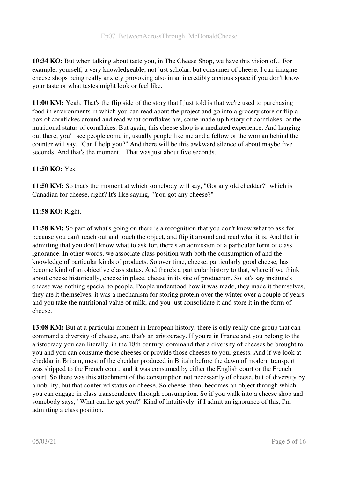10:34 KO: But when talking about taste you, in The Cheese Shop, we have this vision of... For example, yourself, a very knowledgeable, not just scholar, but consumer of cheese. I can imagine cheese shops being really anxiety provoking also in an incredibly anxious space if you don't know your taste or what tastes might look or feel like.

11:00 KM: Yeah. That's the flip side of the story that I just told is that we're used to purchasing food in environments in which you can read about the project and go into a grocery store or flip a box of cornflakes around and read what cornflakes are, some made-up history of cornflakes, or the nutritional status of cornflakes. But again, this cheese shop is a mediated experience. And hanging out there, you'll see people come in, usually people like me and a fellow or the woman behind the counter will say, "Can I help you?" And there will be this awkward silence of about maybe five seconds. And that's the moment... That was just about five seconds.

# 11:50 KO: Yes.

11:50 KM: So that's the moment at which somebody will say, "Got any old cheddar?" which is Canadian for cheese, right? It's like saying, "You got any cheese?"

# 11:58 KO: Right.

11:58 KM: So part of what's going on there is a recognition that you don't know what to ask for because you can't reach out and touch the object, and flip it around and read what it is. And that in admitting that you don't know what to ask for, there's an admission of a particular form of class ignorance. In other words, we associate class position with both the consumption of and the knowledge of particular kinds of products. So over time, cheese, particularly good cheese, has become kind of an objective class status. And there's a particular history to that, where if we think about cheese historically, cheese in place, cheese in its site of production. So let's say institute's cheese was nothing special to people. People understood how it was made, they made it themselves, they ate it themselves, it was a mechanism for storing protein over the winter over a couple of years, and you take the nutritional value of milk, and you just consolidate it and store it in the form of cheese.

13:08 KM: But at a particular moment in European history, there is only really one group that can command a diversity of cheese, and that's an aristocracy. If you're in France and you belong to the aristocracy you can literally, in the 18th century, command that a diversity of cheeses be brought to you and you can consume those cheeses or provide those cheeses to your guests. And if we look at cheddar in Britain, most of the cheddar produced in Britain before the dawn of modern transport was shipped to the French court, and it was consumed by either the English court or the French court. So there was this attachment of the consumption not necessarily of cheese, but of diversity by a nobility, but that conferred status on cheese. So cheese, then, becomes an object through which you can engage in class transcendence through consumption. So if you walk into a cheese shop and somebody says, "What can he get you?" Kind of intuitively, if I admit an ignorance of this, I'm admitting a class position.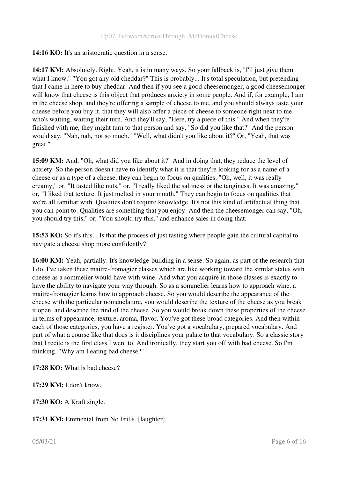#### 14:16 KO: It's an aristocratic question in a sense.

14:17 KM: Absolutely. Right. Yeah, it is in many ways. So your fallback is, "I'll just give them what I know." "You got any old cheddar?" This is probably... It's total speculation, but pretending that I came in here to buy cheddar. And then if you see a good cheesemonger, a good cheesemonger will know that cheese is this object that produces anxiety in some people. And if, for example, I am in the cheese shop, and they're offering a sample of cheese to me, and you should always taste your cheese before you buy it, that they will also offer a piece of cheese to someone right next to me who's waiting, waiting their turn. And they'll say, "Here, try a piece of this." And when they're finished with me, they might turn to that person and say, "So did you like that?" And the person would say, "Nah, nah, not so much." "Well, what didn't you like about it?" Or, "Yeah, that was great."

15:09 KM: And, "Oh, what did you like about it?" And in doing that, they reduce the level of anxiety. So the person doesn't have to identify what it is that they're looking for as a name of a cheese or as a type of a cheese, they can begin to focus on qualities. "Oh, well, it was really creamy," or, "It tasted like nuts," or, "I really liked the saltiness or the tanginess. It was amazing," or, "I liked that texture. It just melted in your mouth." They can begin to focus on qualities that we're all familiar with. Qualities don't require knowledge. It's not this kind of artifactual thing that you can point to. Qualities are something that you enjoy. And then the cheesemonger can say, "Oh, you should try this," or, "You should try this," and enhance sales in doing that.

15:53 KO: So it's this... Is that the process of just tasting where people gain the cultural capital to navigate a cheese shop more confidently?

16:00 KM: Yeah, partially. It's knowledge-building in a sense. So again, as part of the research that I do, I've taken these maitre-fromagier classes which are like working toward the similar status with cheese as a sommelier would have with wine. And what you acquire in those classes is exactly to have the ability to navigate your way through. So as a sommelier learns how to approach wine, a maitre-fromagier learns how to approach cheese. So you would describe the appearance of the cheese with the particular nomenclature, you would describe the texture of the cheese as you break it open, and describe the rind of the cheese. So you would break down these properties of the cheese in terms of appearance, texture, aroma, flavor. You've got these broad categories. And then within each of those categories, you have a register. You've got a vocabulary, prepared vocabulary. And part of what a course like that does is it disciplines your palate to that vocabulary. So a classic story that I recite is the first class I went to. And ironically, they start you off with bad cheese. So I'm thinking, "Why am I eating bad cheese?"

17:28 KO: What is bad cheese?

17:29 KM: I don't know.

17:30 KO: A Kraft single.

17:31 KM: Emmental from No Frills. [laughter]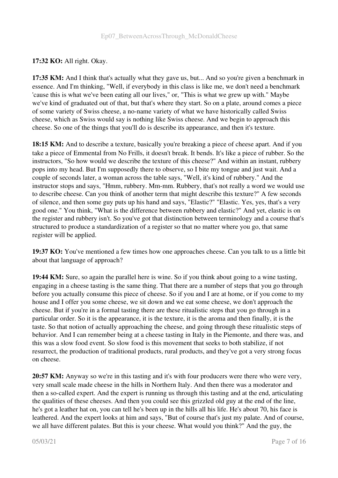# 17:32 KO: All right. Okay.

17:35 KM: And I think that's actually what they gave us, but... And so you're given a benchmark in essence. And I'm thinking, "Well, if everybody in this class is like me, we don't need a benchmark 'cause this is what we've been eating all our lives," or, "This is what we grew up with." Maybe we've kind of graduated out of that, but that's where they start. So on a plate, around comes a piece of some variety of Swiss cheese, a no-name variety of what we have historically called Swiss cheese, which as Swiss would say is nothing like Swiss cheese. And we begin to approach this cheese. So one of the things that you'll do is describe its appearance, and then it's texture.

18:15 KM: And to describe a texture, basically you're breaking a piece of cheese apart. And if you take a piece of Emmental from No Frills, it doesn't break. It bends. It's like a piece of rubber. So the instructors, "So how would we describe the texture of this cheese?" And within an instant, rubbery pops into my head. But I'm supposedly there to observe, so I bite my tongue and just wait. And a couple of seconds later, a woman across the table says, "Well, it's kind of rubbery." And the instructor stops and says, "Hmm, rubbery. Mm-mm. Rubbery, that's not really a word we would use to describe cheese. Can you think of another term that might describe this texture?" A few seconds of silence, and then some guy puts up his hand and says, "Elastic?" "Elastic. Yes, yes, that's a very good one." You think, "What is the difference between rubbery and elastic?" And yet, elastic is on the register and rubbery isn't. So you've got that distinction between terminology and a course that's structured to produce a standardization of a register so that no matter where you go, that same register will be applied.

19:37 KO: You've mentioned a few times how one approaches cheese. Can you talk to us a little bit about that language of approach?

19:44 KM: Sure, so again the parallel here is wine. So if you think about going to a wine tasting, engaging in a cheese tasting is the same thing. That there are a number of steps that you go through before you actually consume this piece of cheese. So if you and I are at home, or if you come to my house and I offer you some cheese, we sit down and we eat some cheese, we don't approach the cheese. But if you're in a formal tasting there are these ritualistic steps that you go through in a particular order. So it is the appearance, it is the texture, it is the aroma and then finally, it is the taste. So that notion of actually approaching the cheese, and going through these ritualistic steps of behavior. And I can remember being at a cheese tasting in Italy in the Piemonte, and there was, and this was a slow food event. So slow food is this movement that seeks to both stabilize, if not resurrect, the production of traditional products, rural products, and they've got a very strong focus on cheese.

20:57 KM: Anyway so we're in this tasting and it's with four producers were there who were very, very small scale made cheese in the hills in Northern Italy. And then there was a moderator and then a so-called expert. And the expert is running us through this tasting and at the end, articulating the qualities of these cheeses. And then you could see this grizzled old guy at the end of the line, he's got a leather hat on, you can tell he's been up in the hills all his life. He's about 70, his face is leathered. And the expert looks at him and says, "But of course that's just my palate. And of course, we all have different palates. But this is your cheese. What would you think?" And the guy, the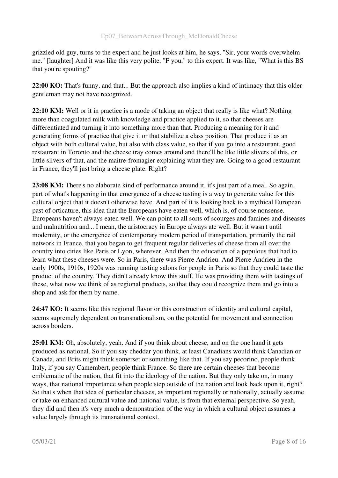grizzled old guy, turns to the expert and he just looks at him, he says, "Sir, your words overwhelm me." [laughter] And it was like this very polite, "F you," to this expert. It was like, "What is this BS that you're spouting?"

22:00 KO: That's funny, and that... But the approach also implies a kind of intimacy that this older gentleman may not have recognized.

22:10 KM: Well or it in practice is a mode of taking an object that really is like what? Nothing more than coagulated milk with knowledge and practice applied to it, so that cheeses are differentiated and turning it into something more than that. Producing a meaning for it and generating forms of practice that give it or that stabilize a class position. That produce it as an object with both cultural value, but also with class value, so that if you go into a restaurant, good restaurant in Toronto and the cheese tray comes around and there'll be like little slivers of this, or little slivers of that, and the maitre-fromagier explaining what they are. Going to a good restaurant in France, they'll just bring a cheese plate. Right?

23:08 KM: There's no elaborate kind of performance around it, it's just part of a meal. So again, part of what's happening in that emergence of a cheese tasting is a way to generate value for this cultural object that it doesn't otherwise have. And part of it is looking back to a mythical European past of orticature, this idea that the Europeans have eaten well, which is, of course nonsense. Europeans haven't always eaten well. We can point to all sorts of scourges and famines and diseases and malnutrition and... I mean, the aristocracy in Europe always ate well. But it wasn't until modernity, or the emergence of contemporary modern period of transportation, primarily the rail network in France, that you began to get frequent regular deliveries of cheese from all over the country into cities like Paris or Lyon, wherever. And then the education of a populous that had to learn what these cheeses were. So in Paris, there was Pierre Andrieu. And Pierre Andrieu in the early 1900s, 1910s, 1920s was running tasting salons for people in Paris so that they could taste the product of the country. They didn't already know this stuff. He was providing them with tastings of these, what now we think of as regional products, so that they could recognize them and go into a shop and ask for them by name.

24:47 KO: It seems like this regional flavor or this construction of identity and cultural capital, seems supremely dependent on transnationalism, on the potential for movement and connection across borders.

25:01 KM: Oh, absolutely, yeah. And if you think about cheese, and on the one hand it gets produced as national. So if you say cheddar you think, at least Canadians would think Canadian or Canada, and Brits might think somerset or something like that. If you say pecorino, people think Italy, if you say Camembert, people think France. So there are certain cheeses that become emblematic of the nation, that fit into the ideology of the nation. But they only take on, in many ways, that national importance when people step outside of the nation and look back upon it, right? So that's when that idea of particular cheeses, as important regionally or nationally, actually assume or take on enhanced cultural value and national value, is from that external perspective. So yeah, they did and then it's very much a demonstration of the way in which a cultural object assumes a value largely through its transnational context.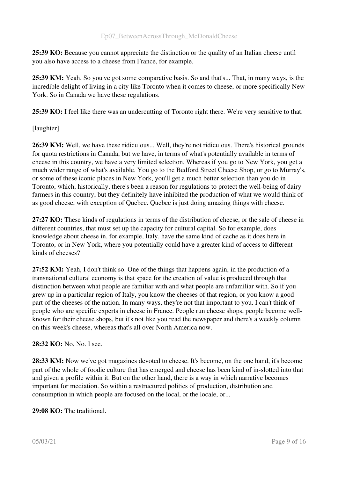25:39 KO: Because you cannot appreciate the distinction or the quality of an Italian cheese until you also have access to a cheese from France, for example.

25:39 KM: Yeah. So you've got some comparative basis. So and that's... That, in many ways, is the incredible delight of living in a city like Toronto when it comes to cheese, or more specifically New York. So in Canada we have these regulations.

25:39 KO: I feel like there was an undercutting of Toronto right there. We're very sensitive to that.

[laughter]

26:39 KM: Well, we have these ridiculous... Well, they're not ridiculous. There's historical grounds for quota restrictions in Canada, but we have, in terms of what's potentially available in terms of cheese in this country, we have a very limited selection. Whereas if you go to New York, you get a much wider range of what's available. You go to the Bedford Street Cheese Shop, or go to Murray's, or some of these iconic places in New York, you'll get a much better selection than you do in Toronto, which, historically, there's been a reason for regulations to protect the well-being of dairy farmers in this country, but they definitely have inhibited the production of what we would think of as good cheese, with exception of Quebec. Quebec is just doing amazing things with cheese.

27:27 KO: These kinds of regulations in terms of the distribution of cheese, or the sale of cheese in different countries, that must set up the capacity for cultural capital. So for example, does knowledge about cheese in, for example, Italy, have the same kind of cache as it does here in Toronto, or in New York, where you potentially could have a greater kind of access to different kinds of cheeses?

27:52 KM: Yeah, I don't think so. One of the things that happens again, in the production of a transnational cultural economy is that space for the creation of value is produced through that distinction between what people are familiar with and what people are unfamiliar with. So if you grew up in a particular region of Italy, you know the cheeses of that region, or you know a good part of the cheeses of the nation. In many ways, they're not that important to you. I can't think of people who are specific experts in cheese in France. People run cheese shops, people become wellknown for their cheese shops, but it's not like you read the newspaper and there's a weekly column on this week's cheese, whereas that's all over North America now.

# 28:32 KO: No. No. I see.

28:33 KM: Now we've got magazines devoted to cheese. It's become, on the one hand, it's become part of the whole of foodie culture that has emerged and cheese has been kind of in-slotted into that and given a profile within it. But on the other hand, there is a way in which narrative becomes important for mediation. So within a restructured politics of production, distribution and consumption in which people are focused on the local, or the locale, or...

29:08 KO: The traditional.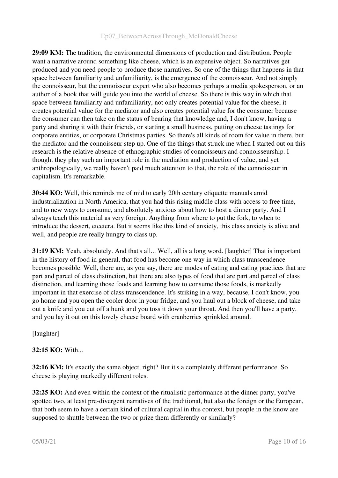29:09 KM: The tradition, the environmental dimensions of production and distribution. People want a narrative around something like cheese, which is an expensive object. So narratives get produced and you need people to produce those narratives. So one of the things that happens in that space between familiarity and unfamiliarity, is the emergence of the connoisseur. And not simply the connoisseur, but the connoisseur expert who also becomes perhaps a media spokesperson, or an author of a book that will guide you into the world of cheese. So there is this way in which that space between familiarity and unfamiliarity, not only creates potential value for the cheese, it creates potential value for the mediator and also creates potential value for the consumer because the consumer can then take on the status of bearing that knowledge and, I don't know, having a party and sharing it with their friends, or starting a small business, putting on cheese tastings for corporate entities, or corporate Christmas parties. So there's all kinds of room for value in there, but the mediator and the connoisseur step up. One of the things that struck me when I started out on this research is the relative absence of ethnographic studies of connoisseurs and connoisseurship. I thought they play such an important role in the mediation and production of value, and yet anthropologically, we really haven't paid much attention to that, the role of the connoisseur in capitalism. It's remarkable.

30:44 KO: Well, this reminds me of mid to early 20th century etiquette manuals amid industrialization in North America, that you had this rising middle class with access to free time, and to new ways to consume, and absolutely anxious about how to host a dinner party. And I always teach this material as very foreign. Anything from where to put the fork, to when to introduce the dessert, etcetera. But it seems like this kind of anxiety, this class anxiety is alive and well, and people are really hungry to class up.

31:19 KM: Yeah, absolutely. And that's all... Well, all is a long word. [laughter] That is important in the history of food in general, that food has become one way in which class transcendence becomes possible. Well, there are, as you say, there are modes of eating and eating practices that are part and parcel of class distinction, but there are also types of food that are part and parcel of class distinction, and learning those foods and learning how to consume those foods, is markedly important in that exercise of class transcendence. It's striking in a way, because, I don't know, you go home and you open the cooler door in your fridge, and you haul out a block of cheese, and take out a knife and you cut off a hunk and you toss it down your throat. And then you'll have a party, and you lay it out on this lovely cheese board with cranberries sprinkled around.

[laughter]

# 32:15 KO: With...

**32:16 KM:** It's exactly the same object, right? But it's a completely different performance. So cheese is playing markedly different roles.

32:25 KO: And even within the context of the ritualistic performance at the dinner party, you've spotted two, at least pre-divergent narratives of the traditional, but also the foreign or the European, that both seem to have a certain kind of cultural capital in this context, but people in the know are supposed to shuttle between the two or prize them differently or similarly?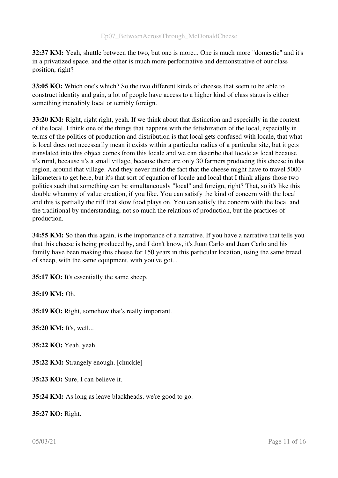32:37 KM: Yeah, shuttle between the two, but one is more... One is much more "domestic" and it's in a privatized space, and the other is much more performative and demonstrative of our class position, right?

33:05 KO: Which one's which? So the two different kinds of cheeses that seem to be able to construct identity and gain, a lot of people have access to a higher kind of class status is either something incredibly local or terribly foreign.

33:20 KM: Right, right right, yeah. If we think about that distinction and especially in the context of the local, I think one of the things that happens with the fetishization of the local, especially in terms of the politics of production and distribution is that local gets confused with locale, that what is local does not necessarily mean it exists within a particular radius of a particular site, but it gets translated into this object comes from this locale and we can describe that locale as local because it's rural, because it's a small village, because there are only 30 farmers producing this cheese in that region, around that village. And they never mind the fact that the cheese might have to travel 5000 kilometers to get here, but it's that sort of equation of locale and local that I think aligns those two politics such that something can be simultaneously "local" and foreign, right? That, so it's like this double whammy of value creation, if you like. You can satisfy the kind of concern with the local and this is partially the riff that slow food plays on. You can satisfy the concern with the local and the traditional by understanding, not so much the relations of production, but the practices of production.

**34:55 KM:** So then this again, is the importance of a narrative. If you have a narrative that tells you that this cheese is being produced by, and I don't know, it's Juan Carlo and Juan Carlo and his family have been making this cheese for 150 years in this particular location, using the same breed of sheep, with the same equipment, with you've got...

35:17 KO: It's essentially the same sheep.

# 35:19 KM: Oh.

35:19 KO: Right, somehow that's really important.

35:20 KM: It's, well...

35:22 KO: Yeah, yeah.

35:22 KM: Strangely enough. [chuckle]

35:23 KO: Sure, I can believe it.

35:24 KM: As long as leave blackheads, we're good to go.

35:27 KO: Right.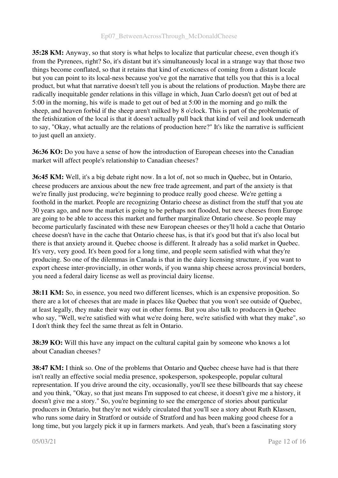# Ep07\_BetweenAcrossThrough\_McDonaldCheese

35:28 KM: Anyway, so that story is what helps to localize that particular cheese, even though it's from the Pyrenees, right? So, it's distant but it's simultaneously local in a strange way that those two things become conflated, so that it retains that kind of exoticness of coming from a distant locale but you can point to its local-ness because you've got the narrative that tells you that this is a local product, but what that narrative doesn't tell you is about the relations of production. Maybe there are radically inequitable gender relations in this village in which, Juan Carlo doesn't get out of bed at 5:00 in the morning, his wife is made to get out of bed at 5:00 in the morning and go milk the sheep, and heaven forbid if the sheep aren't milked by 8 o'clock. This is part of the problematic of the fetishization of the local is that it doesn't actually pull back that kind of veil and look underneath to say, "Okay, what actually are the relations of production here?" It's like the narrative is sufficient to just quell an anxiety.

36:36 KO: Do you have a sense of how the introduction of European cheeses into the Canadian market will affect people's relationship to Canadian cheeses?

36:45 KM: Well, it's a big debate right now. In a lot of, not so much in Quebec, but in Ontario, cheese producers are anxious about the new free trade agreement, and part of the anxiety is that we're finally just producing, we're beginning to produce really good cheese. We're getting a foothold in the market. People are recognizing Ontario cheese as distinct from the stuff that you ate 30 years ago, and now the market is going to be perhaps not flooded, but new cheeses from Europe are going to be able to access this market and further marginalize Ontario cheese. So people may become particularly fascinated with these new European cheeses or they'll hold a cache that Ontario cheese doesn't have in the cache that Ontario cheese has, is that it's good but that it's also local but there is that anxiety around it. Quebec choose is different. It already has a solid market in Quebec. It's very, very good. It's been good for a long time, and people seem satisfied with what they're producing. So one of the dilemmas in Canada is that in the dairy licensing structure, if you want to export cheese inter-provincially, in other words, if you wanna ship cheese across provincial borders, you need a federal dairy license as well as provincial dairy license.

38:11 KM: So, in essence, you need two different licenses, which is an expensive proposition. So there are a lot of cheeses that are made in places like Quebec that you won't see outside of Quebec, at least legally, they make their way out in other forms. But you also talk to producers in Quebec who say, "Well, we're satisfied with what we're doing here, we're satisfied with what they make", so I don't think they feel the same threat as felt in Ontario.

38:39 KO: Will this have any impact on the cultural capital gain by someone who knows a lot about Canadian cheeses?

38:47 KM: I think so. One of the problems that Ontario and Quebec cheese have had is that there isn't really an effective social media presence, spokesperson, spokespeople, popular cultural representation. If you drive around the city, occasionally, you'll see these billboards that say cheese and you think, "Okay, so that just means I'm supposed to eat cheese, it doesn't give me a history, it doesn't give me a story." So, you're beginning to see the emergence of stories about particular producers in Ontario, but they're not widely circulated that you'll see a story about Ruth Klassen, who runs some dairy in Stratford or outside of Stratford and has been making good cheese for a long time, but you largely pick it up in farmers markets. And yeah, that's been a fascinating story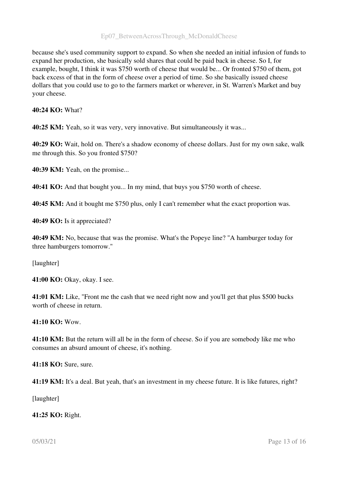#### Ep07\_BetweenAcrossThrough\_McDonaldCheese

because she's used community support to expand. So when she needed an initial infusion of funds to expand her production, she basically sold shares that could be paid back in cheese. So I, for example, bought, I think it was \$750 worth of cheese that would be... Or fronted \$750 of them, got back excess of that in the form of cheese over a period of time. So she basically issued cheese dollars that you could use to go to the farmers market or wherever, in St. Warren's Market and buy your cheese.

#### 40:24 KO: What?

40:25 KM: Yeah, so it was very, very innovative. But simultaneously it was...

40:29 KO: Wait, hold on. There's a shadow economy of cheese dollars. Just for my own sake, walk me through this. So you fronted \$750?

40:39 KM: Yeah, on the promise...

40:41 KO: And that bought you... In my mind, that buys you \$750 worth of cheese.

40:45 KM: And it bought me \$750 plus, only I can't remember what the exact proportion was.

40:49 KO: Is it appreciated?

40:49 KM: No, because that was the promise. What's the Popeye line? "A hamburger today for three hamburgers tomorrow."

[laughter]

41:00 KO: Okay, okay. I see.

41:01 KM: Like, "Front me the cash that we need right now and you'll get that plus \$500 bucks worth of cheese in return.

#### 41:10 KO: Wow.

41:10 KM: But the return will all be in the form of cheese. So if you are somebody like me who consumes an absurd amount of cheese, it's nothing.

41:18 KO: Sure, sure.

41:19 KM: It's a deal. But yeah, that's an investment in my cheese future. It is like futures, right?

[laughter]

41:25 KO: Right.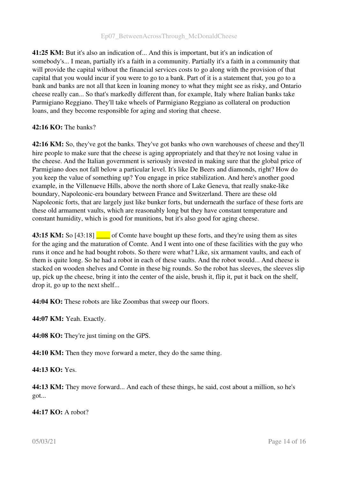41:25 KM: But it's also an indication of... And this is important, but it's an indication of somebody's... I mean, partially it's a faith in a community. Partially it's a faith in a community that will provide the capital without the financial services costs to go along with the provision of that capital that you would incur if you were to go to a bank. Part of it is a statement that, you go to a bank and banks are not all that keen in loaning money to what they might see as risky, and Ontario cheese really can... So that's markedly different than, for example, Italy where Italian banks take Parmigiano Reggiano. They'll take wheels of Parmigiano Reggiano as collateral on production loans, and they become responsible for aging and storing that cheese.

# 42:16 KO: The banks?

42:16 KM: So, they've got the banks. They've got banks who own warehouses of cheese and they'll hire people to make sure that the cheese is aging appropriately and that they're not losing value in the cheese. And the Italian government is seriously invested in making sure that the global price of Parmigiano does not fall below a particular level. It's like De Beers and diamonds, right? How do you keep the value of something up? You engage in price stabilization. And here's another good example, in the Villenueve Hills, above the north shore of Lake Geneva, that really snake-like boundary, Napoleonicera boundary between France and Switzerland. There are these old Napoleonic forts, that are largely just like bunker forts, but underneath the surface of these forts are these old armament vaults, which are reasonably long but they have constant temperature and constant humidity, which is good for munitions, but it's also good for aging cheese.

43:15 KM: So [43:18]  $\blacksquare$  of Comte have bought up these forts, and they're using them as sites for the aging and the maturation of Comte. And I went into one of these facilities with the guy who runs it once and he had bought robots. So there were what? Like, six armament vaults, and each of them is quite long. So he had a robot in each of these vaults. And the robot would... And cheese is stacked on wooden shelves and Comte in these big rounds. So the robot has sleeves, the sleeves slip up, pick up the cheese, bring it into the center of the aisle, brush it, flip it, put it back on the shelf, drop it, go up to the next shelf...

44:04 KO: These robots are like Zoombas that sweep our floors.

44:07 KM: Yeah. Exactly.

44:08 KO: They're just timing on the GPS.

44:10 KM: Then they move forward a meter, they do the same thing.

44:13 KO: Yes.

44:13 KM: They move forward... And each of these things, he said, cost about a million, so he's got...

44:17 KO: A robot?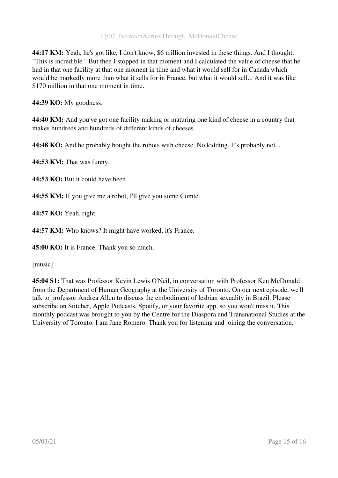44:17 KM: Yeah, he's got like, I don't know, \$6 million invested in these things. And I thought, "This is incredible." But then I stopped in that moment and I calculated the value of cheese that he had in that one facility at that one moment in time and what it would sell for in Canada which would be markedly more than what it sells for in France, but what it would sell... And it was like \$170 million in that one moment in time.

44:39 KO: My goodness.

44:40 KM: And you've got one facility making or maturing one kind of cheese in a country that makes hundreds and hundreds of different kinds of cheeses.

44:48 KO: And he probably bought the robots with cheese. No kidding. It's probably not...

44:53 KM: That was funny.

44:53 KO: But it could have been.

44:55 KM: If you give me a robot, I'll give you some Comte.

44:57 KO: Yeah, right.

44:57 KM: Who knows? It might have worked, it's France.

45:00 KO: It is France. Thank you so much.

[music]

45:04 S1: That was Professor Kevin Lewis O'Neil, in conversation with Professor Ken McDonald from the Department of Human Geography at the University of Toronto. On our next episode, we'll talk to professor Andrea Allen to discuss the embodiment of lesbian sexuality in Brazil. Please subscribe on Stitcher, Apple Podcasts, Spotify, or your favorite app, so you won't miss it. This monthly podcast was brought to you by the Centre for the Diaspora and Transnational Studies at the University of Toronto. I am Jane Romero. Thank you for listening and joining the conversation.